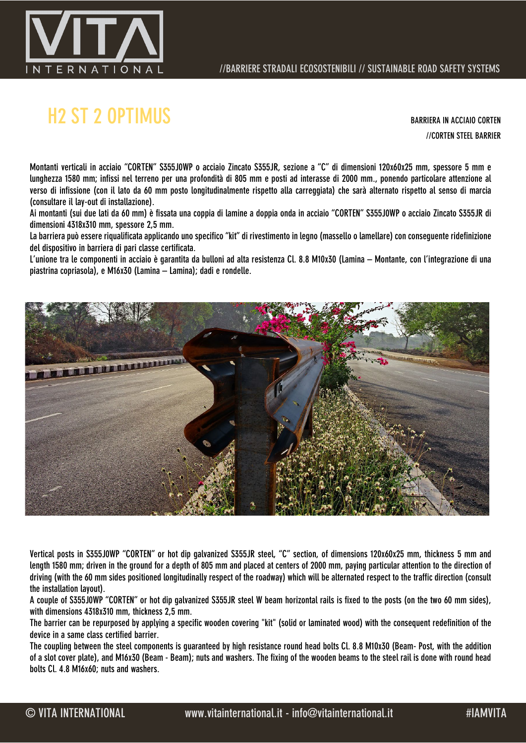

## H2 ST 2 OPTIMUS BARRIERA IN ACCIAIO CORTEN

//CORTEN STEEL BARRIER

Montanti verticali in acciaio "CORTEN" S355J0WP o acciaio Zincato S355JR, sezione a "C" di dimensioni 120x60x25 mm, spessore 5 mm e lunghezza 1580 mm; infissi nel terreno per una profondità di 805 mm e posti ad interasse di 2000 mm., ponendo particolare attenzione al verso di infissione (con il lato da 60 mm posto longitudinalmente rispetto alla carreggiata) che sarà alternato rispetto al senso di marcia (consultare il lay-out di installazione).

Ai montanti (sui due lati da 60 mm) è fissata una coppia di lamine a doppia onda in acciaio "CORTEN" S355J0WP o acciaio Zincato S355JR di dimensioni 4318x310 mm, spessore 2,5 mm.

La barriera può essere riqualificata applicando uno specifico "kit" di rivestimento in legno (massello o lamellare) con conseguente ridefinizione del dispositivo in barriera di pari classe certificata.

L'unione tra le componenti in acciaio è garantita da bulloni ad alta resistenza Cl. 8.8 M10x30 (Lamina – Montante, con l'integrazione di una piastrina copriasola), e M16x30 (Lamina – Lamina); dadi e rondelle.



Vertical posts in S355J0WP "CORTEN" or hot dip galvanized S355JR steel, "C" section, of dimensions 120x60x25 mm, thickness 5 mm and length 1580 mm; driven in the ground for a depth of 805 mm and placed at centers of 2000 mm, paying particular attention to the direction of driving (with the 60 mm sides positioned longitudinally respect of the roadway) which will be alternated respect to the traffic direction (consult the installation layout).

A couple of S355J0WP "CORTEN" or hot dip galvanized S355JR steel W beam horizontal rails is fixed to the posts (on the two 60 mm sides), with dimensions 4318x310 mm, thickness 2,5 mm.

The barrier can be repurposed by applying a specific wooden covering "kit" (solid or laminated wood) with the consequent redefinition of the device in a same class certified barrier.

The coupling between the steel components is guaranteed by high resistance round head bolts Cl. 8.8 M10x30 (Beam- Post, with the addition of a slot cover plate), and M16x30 (Beam - Beam); nuts and washers. The fixing of the wooden beams to the steel rail is done with round head bolts Cl. 4.8 M16x60; nuts and washers.